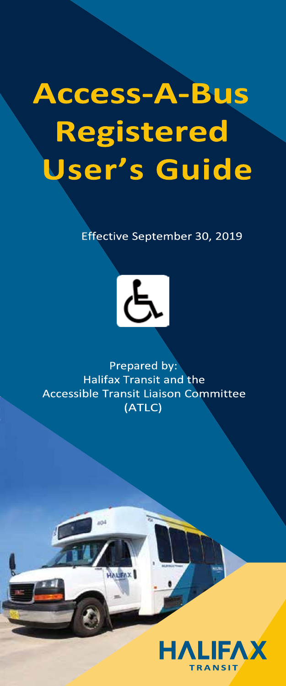# **Access-A-Bus Registered** User's Guide

Effective September 30, 2019



Prepared by: Halifax Transit and the **Accessible Transit Liaison Committee** (ATLC)

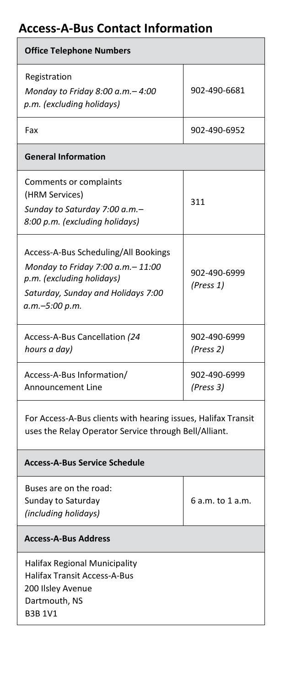# **Access-A-Bus Contact Information**

| <b>Office Telephone Numbers</b>                                                                                                                                 |                           |  |  |  |
|-----------------------------------------------------------------------------------------------------------------------------------------------------------------|---------------------------|--|--|--|
| Registration<br>Monday to Friday 8:00 a.m. - 4:00<br>p.m. (excluding holidays)                                                                                  | 902-490-6681              |  |  |  |
| Fax                                                                                                                                                             | 902-490-6952              |  |  |  |
| <b>General Information</b>                                                                                                                                      |                           |  |  |  |
| Comments or complaints<br>(HRM Services)<br>Sunday to Saturday 7:00 a.m.-<br>8:00 p.m. (excluding holidays)                                                     | 311                       |  |  |  |
| Access-A-Bus Scheduling/All Bookings<br>Monday to Friday 7:00 a.m. - 11:00<br>p.m. (excluding holidays)<br>Saturday, Sunday and Holidays 7:00<br>a.m.-5:00 p.m. | 902-490-6999<br>(Press 1) |  |  |  |
| Access-A-Bus Cancellation (24<br>hours a day)                                                                                                                   | 902-490-6999<br>(Press 2) |  |  |  |
| Access-A-Bus Information/<br>Announcement Line                                                                                                                  | 902-490-6999<br>(Press 3) |  |  |  |
| For Access-A-Bus clients with hearing issues, Halifax Transit<br>uses the Relay Operator Service through Bell/Alliant.                                          |                           |  |  |  |
| <b>Access-A-Bus Service Schedule</b>                                                                                                                            |                           |  |  |  |
| Buses are on the road:<br>Sunday to Saturday<br>(including holidays)                                                                                            | 6 a.m. to 1 a.m.          |  |  |  |
| <b>Access-A-Bus Address</b>                                                                                                                                     |                           |  |  |  |
| Halifax Regional Municipality<br><b>Halifax Transit Access-A-Bus</b><br>200 Ilsley Avenue<br>Dartmouth, NS<br><b>B3B 1V1</b>                                    |                           |  |  |  |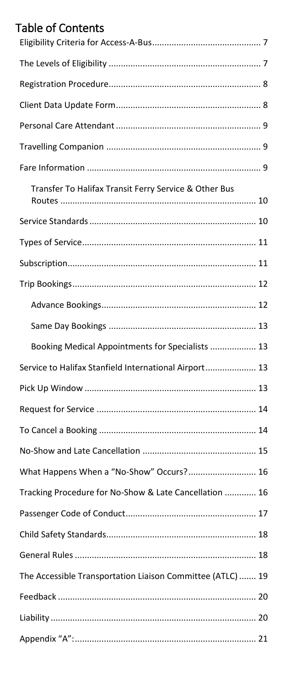# **Table of Contents**

| Transfer To Halifax Transit Ferry Service & Other Bus      |
|------------------------------------------------------------|
|                                                            |
|                                                            |
|                                                            |
|                                                            |
|                                                            |
|                                                            |
| Booking Medical Appointments for Specialists  13           |
| Service to Halifax Stanfield International Airport 13      |
|                                                            |
|                                                            |
|                                                            |
|                                                            |
| What Happens When a "No-Show" Occurs? 16                   |
| Tracking Procedure for No-Show & Late Cancellation  16     |
|                                                            |
|                                                            |
|                                                            |
| The Accessible Transportation Liaison Committee (ATLC)  19 |
|                                                            |
|                                                            |
|                                                            |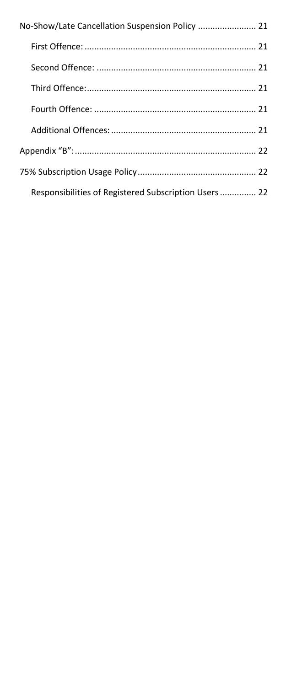| No-Show/Late Cancellation Suspension Policy  21      |
|------------------------------------------------------|
|                                                      |
|                                                      |
|                                                      |
|                                                      |
|                                                      |
|                                                      |
|                                                      |
| Responsibilities of Registered Subscription Users 22 |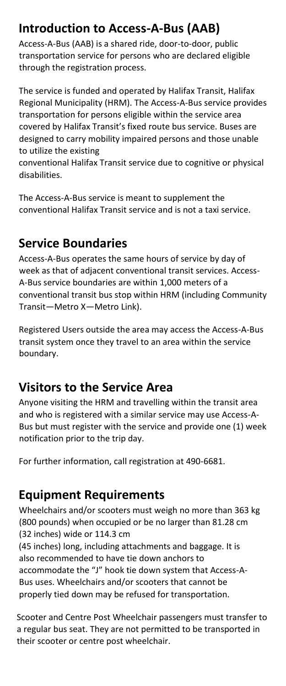# **Introduction to Access-A-Bus (AAB)**

Access-A-Bus (AAB) is a shared ride, door-to-door, public transportation service for persons who are declared eligible through the registration process.

The service is funded and operated by Halifax Transit, Halifax Regional Municipality (HRM). The Access-A-Bus service provides transportation for persons eligible within the service area covered by Halifax Transit's fixed route bus service. Buses are designed to carry mobility impaired persons and those unable to utilize the existing

conventional Halifax Transit service due to cognitive or physical disabilities.

The Access-A-Bus service is meant to supplement the conventional Halifax Transit service and is not a taxi service.

## **Service Boundaries**

Access-A-Bus operates the same hours of service by day of week as that of adjacent conventional transit services. Access-A-Bus service boundaries are within 1,000 meters of a conventional transit bus stop within HRM (including Community Transit—Metro X—Metro Link).

Registered Users outside the area may access the Access-A-Bus transit system once they travel to an area within the service boundary.

## **Visitors to the Service Area**

Anyone visiting the HRM and travelling within the transit area and who is registered with a similar service may use Access-A-Bus but must register with the service and provide one (1) week notification prior to the trip day.

For further information, call registration at 490-6681.

## **Equipment Requirements**

Wheelchairs and/or scooters must weigh no more than 363 kg (800 pounds) when occupied or be no larger than 81.28 cm (32 inches) wide or 114.3 cm

(45 inches) long, including attachments and baggage. It is also recommended to have tie down anchors to accommodate the "J" hook tie down system that Access-A-Bus uses. Wheelchairs and/or scooters that cannot be properly tied down may be refused for transportation.

Scooter and Centre Post Wheelchair passengers must transfer to a regular bus seat. They are not permitted to be transported in their scooter or centre post wheelchair.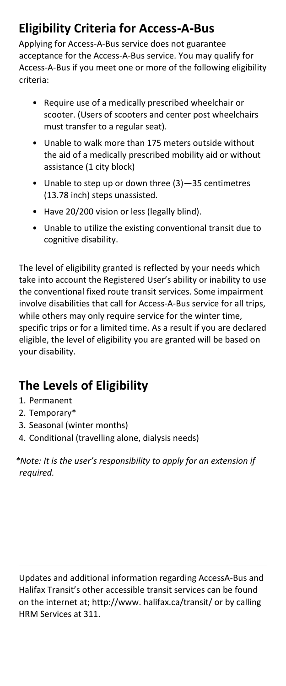# <span id="page-5-0"></span>**Eligibility Criteria for Access-A-Bus**

Applying for Access-A-Bus service does not guarantee acceptance for the Access-A-Bus service. You may qualify for Access-A-Bus if you meet one or more of the following eligibility criteria:

- Require use of a medically prescribed wheelchair or scooter. (Users of scooters and center post wheelchairs must transfer to a regular seat).
- Unable to walk more than 175 meters outside without the aid of a medically prescribed mobility aid or without assistance (1 city block)
- Unable to step up or down three (3)—35 centimetres (13.78 inch) steps unassisted.
- Have 20/200 vision or less (legally blind).
- Unable to utilize the existing conventional transit due to cognitive disability.

The level of eligibility granted is reflected by your needs which take into account the Registered User's ability or inability to use the conventional fixed route transit services. Some impairment involve disabilities that call for Access-A-Bus service for all trips, while others may only require service for the winter time, specific trips or for a limited time. As a result if you are declared eligible, the level of eligibility you are granted will be based on your disability.

# <span id="page-5-1"></span>**The Levels of Eligibility**

- 1. Permanent
- 2. Temporary\*
- 3. Seasonal (winter months)
- 4. Conditional (travelling alone, dialysis needs)

*\*Note: It is the user's responsibility to apply for an extension if required.*

Updates and additional information regarding AccessA-Bus and Halifax Transit's other accessible transit services can be found on the internet at; http://www. halifax.ca/transit/ or by calling HRM Services at 311.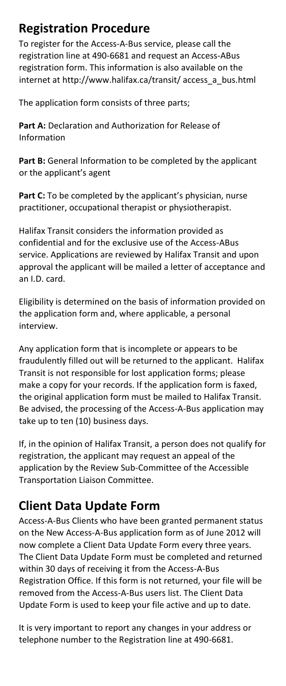# <span id="page-6-0"></span>**Registration Procedure**

To register for the Access-A-Bus service, please call the registration line at 490-6681 and request an Access-ABus registration form. This information is also available on the internet at http://www.halifax.ca/transit/ access\_a\_bus.html

The application form consists of three parts;

**Part A:** Declaration and Authorization for Release of Information

**Part B:** General Information to be completed by the applicant or the applicant's agent

Part C: To be completed by the applicant's physician, nurse practitioner, occupational therapist or physiotherapist.

Halifax Transit considers the information provided as confidential and for the exclusive use of the Access-ABus service. Applications are reviewed by Halifax Transit and upon approval the applicant will be mailed a letter of acceptance and an I.D. card.

Eligibility is determined on the basis of information provided on the application form and, where applicable, a personal interview.

Any application form that is incomplete or appears to be fraudulently filled out will be returned to the applicant. Halifax Transit is not responsible for lost application forms; please make a copy for your records. If the application form is faxed, the original application form must be mailed to Halifax Transit. Be advised, the processing of the Access-A-Bus application may take up to ten (10) business days.

If, in the opinion of Halifax Transit, a person does not qualify for registration, the applicant may request an appeal of the application by the Review Sub-Committee of the Accessible Transportation Liaison Committee.

# <span id="page-6-1"></span>**Client Data Update Form**

Access-A-Bus Clients who have been granted permanent status on the New Access-A-Bus application form as of June 2012 will now complete a Client Data Update Form every three years. The Client Data Update Form must be completed and returned within 30 days of receiving it from the Access-A-Bus Registration Office. If this form is not returned, your file will be removed from the Access-A-Bus users list. The Client Data Update Form is used to keep your file active and up to date.

It is very important to report any changes in your address or telephone number to the Registration line at 490-6681.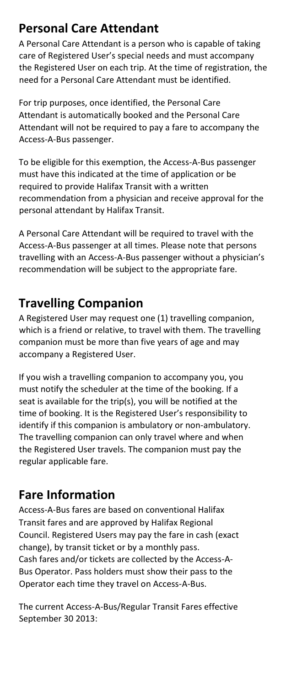# <span id="page-7-0"></span>**Personal Care Attendant**

A Personal Care Attendant is a person who is capable of taking care of Registered User's special needs and must accompany the Registered User on each trip. At the time of registration, the need for a Personal Care Attendant must be identified.

For trip purposes, once identified, the Personal Care Attendant is automatically booked and the Personal Care Attendant will not be required to pay a fare to accompany the Access-A-Bus passenger.

To be eligible for this exemption, the Access-A-Bus passenger must have this indicated at the time of application or be required to provide Halifax Transit with a written recommendation from a physician and receive approval for the personal attendant by Halifax Transit.

A Personal Care Attendant will be required to travel with the Access-A-Bus passenger at all times. Please note that persons travelling with an Access-A-Bus passenger without a physician's recommendation will be subject to the appropriate fare.

# <span id="page-7-1"></span>**Travelling Companion**

A Registered User may request one (1) travelling companion, which is a friend or relative, to travel with them. The travelling companion must be more than five years of age and may accompany a Registered User.

If you wish a travelling companion to accompany you, you must notify the scheduler at the time of the booking. If a seat is available for the trip(s), you will be notified at the time of booking. It is the Registered User's responsibility to identify if this companion is ambulatory or non-ambulatory. The travelling companion can only travel where and when the Registered User travels. The companion must pay the regular applicable fare.

## <span id="page-7-2"></span>**Fare Information**

Access-A-Bus fares are based on conventional Halifax Transit fares and are approved by Halifax Regional Council. Registered Users may pay the fare in cash (exact change), by transit ticket or by a monthly pass. Cash fares and/or tickets are collected by the Access-A-Bus Operator. Pass holders must show their pass to the Operator each time they travel on Access-A-Bus.

The current Access-A-Bus/Regular Transit Fares effective September 30 2013: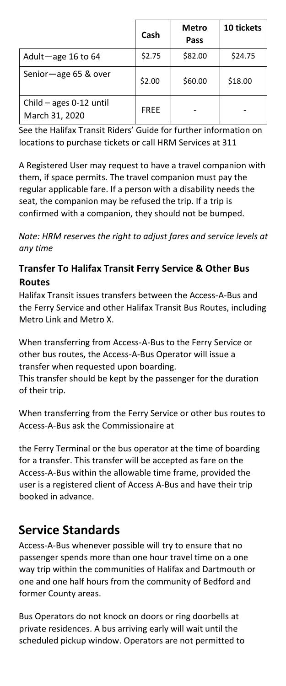|                                             | Cash        | Metro<br>Pass | 10 tickets |
|---------------------------------------------|-------------|---------------|------------|
| Adult-age 16 to 64                          | \$2.75      | \$82.00       | \$24.75    |
| Senior-age 65 & over                        | \$2.00      | \$60.00       | \$18.00    |
| Child $-$ ages 0-12 until<br>March 31, 2020 | <b>FREE</b> |               |            |

See the Halifax Transit Riders' Guide for further information on locations to purchase tickets or call HRM Services at 311

A Registered User may request to have a travel companion with them, if space permits. The travel companion must pay the regular applicable fare. If a person with a disability needs the seat, the companion may be refused the trip. If a trip is confirmed with a companion, they should not be bumped.

*Note: HRM reserves the right to adjust fares and service levels at any time*

#### <span id="page-8-0"></span>**Transfer To Halifax Transit Ferry Service & Other Bus Routes**

Halifax Transit issues transfers between the Access-A-Bus and the Ferry Service and other Halifax Transit Bus Routes, including Metro Link and Metro X.

When transferring from Access-A-Bus to the Ferry Service or other bus routes, the Access-A-Bus Operator will issue a transfer when requested upon boarding.

This transfer should be kept by the passenger for the duration of their trip.

When transferring from the Ferry Service or other bus routes to Access-A-Bus ask the Commissionaire at

the Ferry Terminal or the bus operator at the time of boarding for a transfer. This transfer will be accepted as fare on the Access-A-Bus within the allowable time frame, provided the user is a registered client of Access A-Bus and have their trip booked in advance.

## <span id="page-8-1"></span>**Service Standards**

Access-A-Bus whenever possible will try to ensure that no passenger spends more than one hour travel time on a one way trip within the communities of Halifax and Dartmouth or one and one half hours from the community of Bedford and former County areas.

Bus Operators do not knock on doors or ring doorbells at private residences. A bus arriving early will wait until the scheduled pickup window. Operators are not permitted to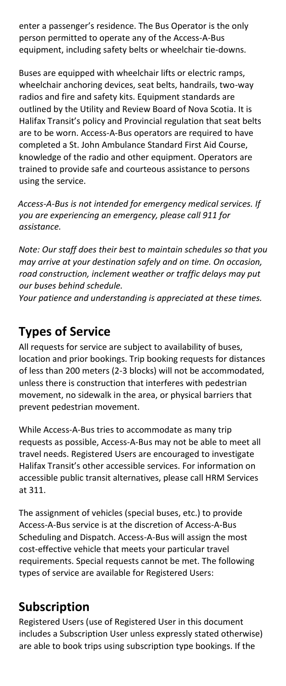enter a passenger's residence. The Bus Operator is the only person permitted to operate any of the Access-A-Bus equipment, including safety belts or wheelchair tie-downs.

Buses are equipped with wheelchair lifts or electric ramps, wheelchair anchoring devices, seat belts, handrails, two-way radios and fire and safety kits. Equipment standards are outlined by the Utility and Review Board of Nova Scotia. It is Halifax Transit's policy and Provincial regulation that seat belts are to be worn. Access-A-Bus operators are required to have completed a St. John Ambulance Standard First Aid Course, knowledge of the radio and other equipment. Operators are trained to provide safe and courteous assistance to persons using the service.

*Access-A-Bus is not intended for emergency medical services. If you are experiencing an emergency, please call 911 for assistance.*

*Note: Our staff does their best to maintain schedules so that you may arrive at your destination safely and on time. On occasion, road construction, inclement weather or traffic delays may put our buses behind schedule.* 

*Your patience and understanding is appreciated at these times.*

# <span id="page-9-0"></span>**Types of Service**

All requests for service are subject to availability of buses, location and prior bookings. Trip booking requests for distances of less than 200 meters (2-3 blocks) will not be accommodated, unless there is construction that interferes with pedestrian movement, no sidewalk in the area, or physical barriers that prevent pedestrian movement.

While Access-A-Bus tries to accommodate as many trip requests as possible, Access-A-Bus may not be able to meet all travel needs. Registered Users are encouraged to investigate Halifax Transit's other accessible services. For information on accessible public transit alternatives, please call HRM Services at 311.

The assignment of vehicles (special buses, etc.) to provide Access-A-Bus service is at the discretion of Access-A-Bus Scheduling and Dispatch. Access-A-Bus will assign the most cost-effective vehicle that meets your particular travel requirements. Special requests cannot be met. The following types of service are available for Registered Users:

## <span id="page-9-1"></span>**Subscription**

Registered Users (use of Registered User in this document includes a Subscription User unless expressly stated otherwise) are able to book trips using subscription type bookings. If the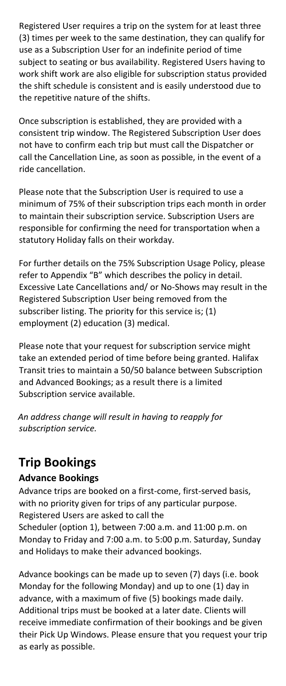Registered User requires a trip on the system for at least three (3) times per week to the same destination, they can qualify for use as a Subscription User for an indefinite period of time subject to seating or bus availability. Registered Users having to work shift work are also eligible for subscription status provided the shift schedule is consistent and is easily understood due to the repetitive nature of the shifts.

Once subscription is established, they are provided with a consistent trip window. The Registered Subscription User does not have to confirm each trip but must call the Dispatcher or call the Cancellation Line, as soon as possible, in the event of a ride cancellation.

Please note that the Subscription User is required to use a minimum of 75% of their subscription trips each month in order to maintain their subscription service. Subscription Users are responsible for confirming the need for transportation when a statutory Holiday falls on their workday.

For further details on the 75% Subscription Usage Policy, please refer to Appendix "B" which describes the policy in detail. Excessive Late Cancellations and/ or No-Shows may result in the Registered Subscription User being removed from the subscriber listing. The priority for this service is; (1) employment (2) education (3) medical.

Please note that your request for subscription service might take an extended period of time before being granted. Halifax Transit tries to maintain a 50/50 balance between Subscription and Advanced Bookings; as a result there is a limited Subscription service available.

*An address change will result in having to reapply for subscription service.*

## <span id="page-10-0"></span>**Trip Bookings**

#### <span id="page-10-1"></span>**Advance Bookings**

Advance trips are booked on a first-come, first-served basis, with no priority given for trips of any particular purpose. Registered Users are asked to call the Scheduler (option 1), between 7:00 a.m. and 11:00 p.m. on Monday to Friday and 7:00 a.m. to 5:00 p.m. Saturday, Sunday and Holidays to make their advanced bookings.

Advance bookings can be made up to seven (7) days (i.e. book Monday for the following Monday) and up to one (1) day in advance, with a maximum of five (5) bookings made daily. Additional trips must be booked at a later date. Clients will receive immediate confirmation of their bookings and be given their Pick Up Windows. Please ensure that you request your trip as early as possible.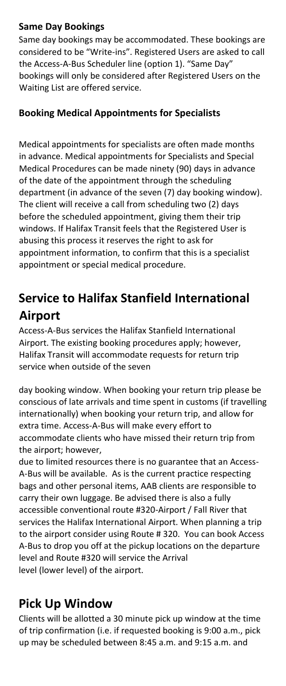#### <span id="page-11-0"></span>**Same Day Bookings**

Same day bookings may be accommodated. These bookings are considered to be "Write-ins". Registered Users are asked to call the Access-A-Bus Scheduler line (option 1). "Same Day" bookings will only be considered after Registered Users on the Waiting List are offered service.

#### <span id="page-11-1"></span>**Booking Medical Appointments for Specialists**

Medical appointments for specialists are often made months in advance. Medical appointments for Specialists and Special Medical Procedures can be made ninety (90) days in advance of the date of the appointment through the scheduling department (in advance of the seven (7) day booking window). The client will receive a call from scheduling two (2) days before the scheduled appointment, giving them their trip windows. If Halifax Transit feels that the Registered User is abusing this process it reserves the right to ask for appointment information, to confirm that this is a specialist appointment or special medical procedure.

# <span id="page-11-2"></span>**Service to Halifax Stanfield International Airport**

Access-A-Bus services the Halifax Stanfield International Airport. The existing booking procedures apply; however, Halifax Transit will accommodate requests for return trip service when outside of the seven

day booking window. When booking your return trip please be conscious of late arrivals and time spent in customs (if travelling internationally) when booking your return trip, and allow for extra time. Access-A-Bus will make every effort to accommodate clients who have missed their return trip from the airport; however,

due to limited resources there is no guarantee that an Access-A-Bus will be available. As is the current practice respecting bags and other personal items, AAB clients are responsible to carry their own luggage. Be advised there is also a fully accessible conventional route #320-Airport / Fall River that services the Halifax International Airport. When planning a trip to the airport consider using Route # 320. You can book Access A-Bus to drop you off at the pickup locations on the departure level and Route #320 will service the Arrival level (lower level) of the airport.

## <span id="page-11-3"></span>**Pick Up Window**

Clients will be allotted a 30 minute pick up window at the time of trip confirmation (i.e. if requested booking is 9:00 a.m., pick up may be scheduled between 8:45 a.m. and 9:15 a.m. and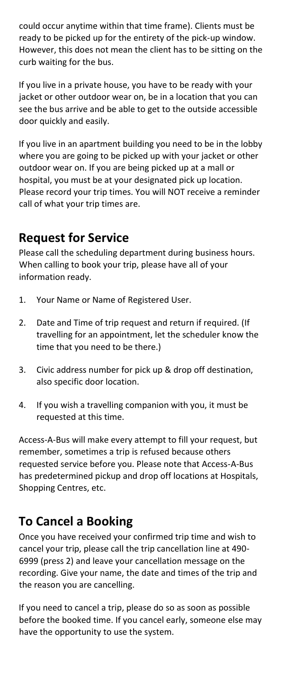could occur anytime within that time frame). Clients must be ready to be picked up for the entirety of the pick-up window. However, this does not mean the client has to be sitting on the curb waiting for the bus.

If you live in a private house, you have to be ready with your jacket or other outdoor wear on, be in a location that you can see the bus arrive and be able to get to the outside accessible door quickly and easily.

If you live in an apartment building you need to be in the lobby where you are going to be picked up with your jacket or other outdoor wear on. If you are being picked up at a mall or hospital, you must be at your designated pick up location. Please record your trip times. You will NOT receive a reminder call of what your trip times are.

#### <span id="page-12-0"></span>**Request for Service**

Please call the scheduling department during business hours. When calling to book your trip, please have all of your information ready.

- 1. Your Name or Name of Registered User.
- 2. Date and Time of trip request and return if required. (If travelling for an appointment, let the scheduler know the time that you need to be there.)
- 3. Civic address number for pick up & drop off destination, also specific door location.
- 4. If you wish a travelling companion with you, it must be requested at this time.

Access-A-Bus will make every attempt to fill your request, but remember, sometimes a trip is refused because others requested service before you. Please note that Access-A-Bus has predetermined pickup and drop off locations at Hospitals, Shopping Centres, etc.

## <span id="page-12-1"></span>**To Cancel a Booking**

Once you have received your confirmed trip time and wish to cancel your trip, please call the trip cancellation line at 490- 6999 (press 2) and leave your cancellation message on the recording. Give your name, the date and times of the trip and the reason you are cancelling.

If you need to cancel a trip, please do so as soon as possible before the booked time. If you cancel early, someone else may have the opportunity to use the system.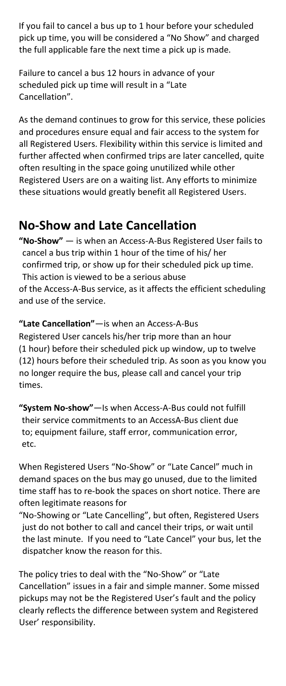If you fail to cancel a bus up to 1 hour before your scheduled pick up time, you will be considered a "No Show" and charged the full applicable fare the next time a pick up is made.

Failure to cancel a bus 12 hours in advance of your scheduled pick up time will result in a "Late Cancellation".

As the demand continues to grow for this service, these policies and procedures ensure equal and fair access to the system for all Registered Users. Flexibility within this service is limited and further affected when confirmed trips are later cancelled, quite often resulting in the space going unutilized while other Registered Users are on a waiting list. Any efforts to minimize these situations would greatly benefit all Registered Users.

## <span id="page-13-0"></span>**No-Show and Late Cancellation**

**"No-Show"** — is when an Access-A-Bus Registered User fails to cancel a bus trip within 1 hour of the time of his/ her confirmed trip, or show up for their scheduled pick up time. This action is viewed to be a serious abuse of the Access-A-Bus service, as it affects the efficient scheduling and use of the service.

**"Late Cancellation"**—is when an Access-A-Bus Registered User cancels his/her trip more than an hour (1 hour) before their scheduled pick up window, up to twelve (12) hours before their scheduled trip. As soon as you know you no longer require the bus, please call and cancel your trip times.

**"System No-show"**—Is when Access-A-Bus could not fulfill their service commitments to an AccessA-Bus client due to; equipment failure, staff error, communication error, etc.

When Registered Users "No-Show" or "Late Cancel" much in demand spaces on the bus may go unused, due to the limited time staff has to re-book the spaces on short notice. There are often legitimate reasons for

"No-Showing or "Late Cancelling", but often, Registered Users just do not bother to call and cancel their trips, or wait until the last minute. If you need to "Late Cancel" your bus, let the dispatcher know the reason for this.

The policy tries to deal with the "No-Show" or "Late Cancellation" issues in a fair and simple manner. Some missed pickups may not be the Registered User's fault and the policy clearly reflects the difference between system and Registered User' responsibility.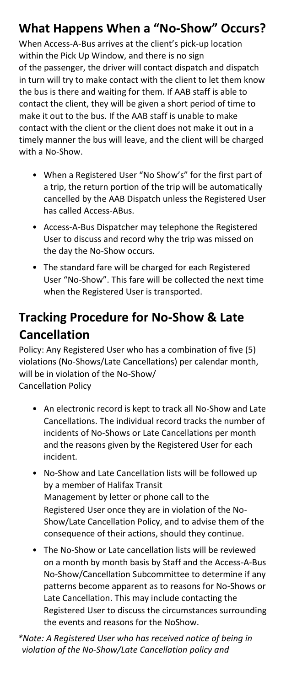# <span id="page-14-0"></span>**What Happens When a "No-Show" Occurs?**

When Access-A-Bus arrives at the client's pick-up location within the Pick Up Window, and there is no sign of the passenger, the driver will contact dispatch and dispatch in turn will try to make contact with the client to let them know the bus is there and waiting for them. If AAB staff is able to contact the client, they will be given a short period of time to make it out to the bus. If the AAB staff is unable to make contact with the client or the client does not make it out in a timely manner the bus will leave, and the client will be charged with a No-Show.

- When a Registered User "No Show's" for the first part of a trip, the return portion of the trip will be automatically cancelled by the AAB Dispatch unless the Registered User has called Access-ABus.
- Access-A-Bus Dispatcher may telephone the Registered User to discuss and record why the trip was missed on the day the No-Show occurs.
- The standard fare will be charged for each Registered User "No-Show". This fare will be collected the next time when the Registered User is transported.

# <span id="page-14-1"></span>**Tracking Procedure for No-Show & Late Cancellation**

Policy: Any Registered User who has a combination of five (5) violations (No-Shows/Late Cancellations) per calendar month, will be in violation of the No-Show/ Cancellation Policy

- An electronic record is kept to track all No-Show and Late Cancellations. The individual record tracks the number of incidents of No-Shows or Late Cancellations per month and the reasons given by the Registered User for each incident.
- No-Show and Late Cancellation lists will be followed up by a member of Halifax Transit Management by letter or phone call to the Registered User once they are in violation of the No-Show/Late Cancellation Policy, and to advise them of the consequence of their actions, should they continue.
- The No-Show or Late cancellation lists will be reviewed on a month by month basis by Staff and the Access-A-Bus No-Show/Cancellation Subcommittee to determine if any patterns become apparent as to reasons for No-Shows or Late Cancellation. This may include contacting the Registered User to discuss the circumstances surrounding the events and reasons for the NoShow.

*\*Note: A Registered User who has received notice of being in violation of the No-Show/Late Cancellation policy and*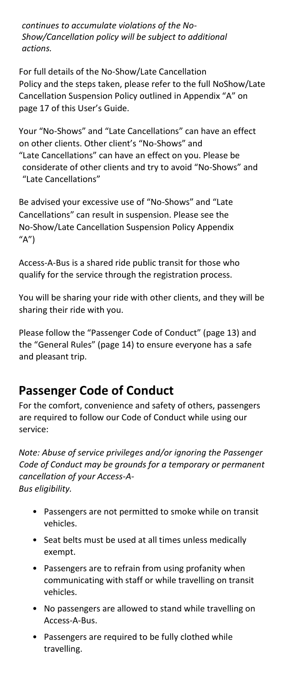*continues to accumulate violations of the No-Show/Cancellation policy will be subject to additional actions.*

For full details of the No-Show/Late Cancellation Policy and the steps taken, please refer to the full NoShow/Late Cancellation Suspension Policy outlined in Appendix "A" on page 17 of this User's Guide.

Your "No-Shows" and "Late Cancellations" can have an effect on other clients. Other client's "No-Shows" and "Late Cancellations" can have an effect on you. Please be considerate of other clients and try to avoid "No-Shows" and "Late Cancellations"

Be advised your excessive use of "No-Shows" and "Late Cancellations" can result in suspension. Please see the No-Show/Late Cancellation Suspension Policy Appendix  $''A'$ 

Access-A-Bus is a shared ride public transit for those who qualify for the service through the registration process.

You will be sharing your ride with other clients, and they will be sharing their ride with you.

Please follow the "Passenger Code of Conduct" (page 13) and the "General Rules" (page 14) to ensure everyone has a safe and pleasant trip.

## <span id="page-15-0"></span>**Passenger Code of Conduct**

For the comfort, convenience and safety of others, passengers are required to follow our Code of Conduct while using our service:

*Note: Abuse of service privileges and/or ignoring the Passenger Code of Conduct may be grounds for a temporary or permanent cancellation of your Access-A-Bus eligibility.*

- Passengers are not permitted to smoke while on transit vehicles.
- Seat belts must be used at all times unless medically exempt.
- Passengers are to refrain from using profanity when communicating with staff or while travelling on transit vehicles.
- No passengers are allowed to stand while travelling on Access-A-Bus.
- Passengers are required to be fully clothed while travelling.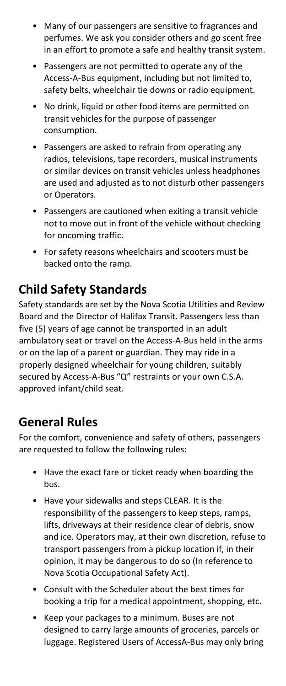- Many of our passengers are sensitive to fragrances and perfumes. We ask you consider others and go scent free in an effort to promote a safe and healthy transit system.
- Passengers are not permitted to operate any of the Access-A-Bus equipment, including but not limited to, safety belts, wheelchair tie downs or radio equipment.
- No drink, liquid or other food items are permitted on transit vehicles for the purpose of passenger consumption.
- Passengers are asked to refrain from operating any radios, televisions, tape recorders, musical instruments or similar devices on transit vehicles unless headphones are used and adjusted as to not disturb other passengers or Operators.
- Passengers are cautioned when exiting a transit vehicle not to move out in front of the vehicle without checking for oncoming traffic.
- For safety reasons wheelchairs and scooters must be backed onto the ramp.

## <span id="page-16-0"></span>**Child Safety Standards**

Safety standards are set by the Nova Scotia Utilities and Review Board and the Director of Halifax Transit. Passengers less than five (5) years of age cannot be transported in an adult ambulatory seat or travel on the Access-A-Bus held in the arms or on the lap of a parent or guardian. They may ride in a properly designed wheelchair for young children, suitably secured by Access-A-Bus "Q" restraints or your own C.S.A. approved infant/child seat.

## <span id="page-16-1"></span>**General Rules**

For the comfort, convenience and safety of others, passengers are requested to follow the following rules:

- Have the exact fare or ticket ready when boarding the bus.
- Have your sidewalks and steps CLEAR. It is the responsibility of the passengers to keep steps, ramps, lifts, driveways at their residence clear of debris, snow and ice. Operators may, at their own discretion, refuse to transport passengers from a pickup location if, in their opinion, it may be dangerous to do so (In reference to Nova Scotia Occupational Safety Act).
- Consult with the Scheduler about the best times for booking a trip for a medical appointment, shopping, etc.
- Keep your packages to a minimum. Buses are not designed to carry large amounts of groceries, parcels or luggage. Registered Users of AccessA-Bus may only bring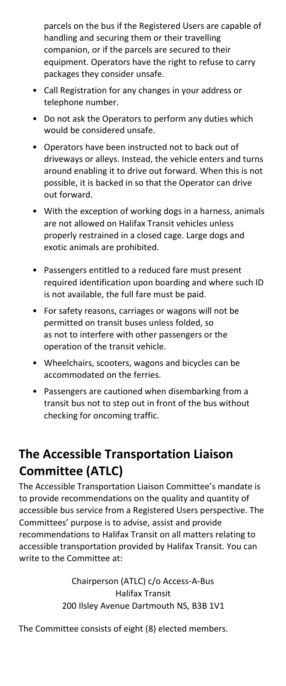parcels on the bus if the Registered Users are capable of handling and securing them or their travelling companion, or if the parcels are secured to their equipment. Operators have the right to refuse to carry packages they consider unsafe.

- Call Registration for any changes in your address or telephone number.
- Do not ask the Operators to perform any duties which would be considered unsafe.
- Operators have been instructed not to back out of driveways or alleys. Instead, the vehicle enters and turns around enabling it to drive out forward. When this is not possible, it is backed in so that the Operator can drive out forward.
- With the exception of working dogs in a harness, animals are not allowed on Halifax Transit vehicles unless properly restrained in a closed cage. Large dogs and exotic animals are prohibited.
- Passengers entitled to a reduced fare must present required identification upon boarding and where such ID is not available, the full fare must be paid.
- For safety reasons, carriages or wagons will not be permitted on transit buses unless folded, so as not to interfere with other passengers or the operation of the transit vehicle.
- Wheelchairs, scooters, wagons and bicycles can be accommodated on the ferries.
- Passengers are cautioned when disembarking from a transit bus not to step out in front of the bus without checking for oncoming traffic.

# <span id="page-17-0"></span>**The Accessible Transportation Liaison Committee (ATLC)**

The Accessible Transportation Liaison Committee's mandate is to provide recommendations on the quality and quantity of accessible bus service from a Registered Users perspective. The Committees' purpose is to advise, assist and provide recommendations to Halifax Transit on all matters relating to accessible transportation provided by Halifax Transit. You can write to the Committee at:

> Chairperson (ATLC) c/o Access-A-Bus Halifax Transit 200 Ilsley Avenue Dartmouth NS, B3B 1V1

The Committee consists of eight (8) elected members.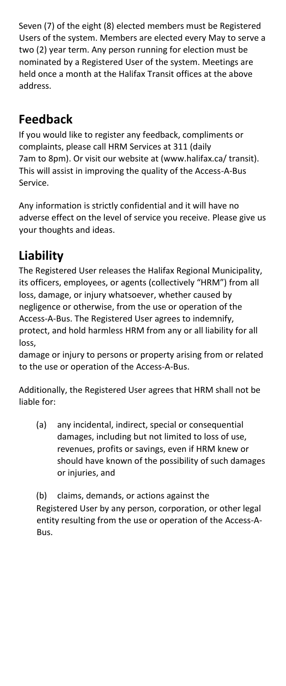Seven (7) of the eight (8) elected members must be Registered Users of the system. Members are elected every May to serve a two (2) year term. Any person running for election must be nominated by a Registered User of the system. Meetings are held once a month at the Halifax Transit offices at the above address.

# <span id="page-18-0"></span>**Feedback**

If you would like to register any feedback, compliments or complaints, please call HRM Services at 311 (daily 7am to 8pm). Or visit our website at (www.halifax.ca/ transit). This will assist in improving the quality of the Access-A-Bus Service.

Any information is strictly confidential and it will have no adverse effect on the level of service you receive. Please give us your thoughts and ideas.

# <span id="page-18-1"></span>**Liability**

The Registered User releases the Halifax Regional Municipality, its officers, employees, or agents (collectively "HRM") from all loss, damage, or injury whatsoever, whether caused by negligence or otherwise, from the use or operation of the Access-A-Bus. The Registered User agrees to indemnify, protect, and hold harmless HRM from any or all liability for all loss,

damage or injury to persons or property arising from or related to the use or operation of the Access-A-Bus.

Additionally, the Registered User agrees that HRM shall not be liable for:

(a) any incidental, indirect, special or consequential damages, including but not limited to loss of use, revenues, profits or savings, even if HRM knew or should have known of the possibility of such damages or injuries, and

(b) claims, demands, or actions against the Registered User by any person, corporation, or other legal entity resulting from the use or operation of the Access-A-Bus.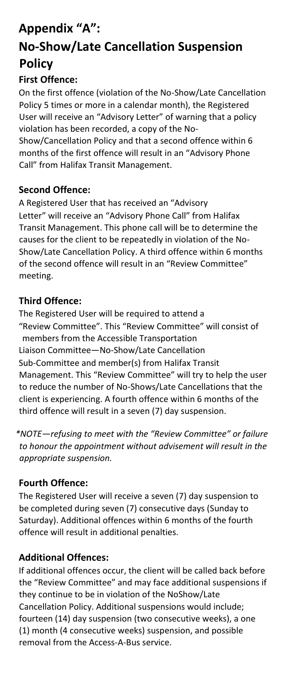# <span id="page-19-1"></span><span id="page-19-0"></span>**Appendix "A": No-Show/Late Cancellation Suspension Policy**

#### <span id="page-19-2"></span>**First Offence:**

On the first offence (violation of the No-Show/Late Cancellation Policy 5 times or more in a calendar month), the Registered User will receive an "Advisory Letter" of warning that a policy violation has been recorded, a copy of the No-Show/Cancellation Policy and that a second offence within 6 months of the first offence will result in an "Advisory Phone Call" from Halifax Transit Management.

#### <span id="page-19-3"></span>**Second Offence:**

A Registered User that has received an "Advisory Letter" will receive an "Advisory Phone Call" from Halifax Transit Management. This phone call will be to determine the causes for the client to be repeatedly in violation of the No-Show/Late Cancellation Policy. A third offence within 6 months of the second offence will result in an "Review Committee" meeting.

#### <span id="page-19-4"></span>**Third Offence:**

The Registered User will be required to attend a "Review Committee". This "Review Committee" will consist of members from the Accessible Transportation Liaison Committee—No-Show/Late Cancellation Sub-Committee and member(s) from Halifax Transit Management. This "Review Committee" will try to help the user to reduce the number of No-Shows/Late Cancellations that the client is experiencing. A fourth offence within 6 months of the third offence will result in a seven (7) day suspension.

*\*NOTE—refusing to meet with the "Review Committee" or failure to honour the appointment without advisement will result in the appropriate suspension.*

#### <span id="page-19-5"></span>**Fourth Offence:**

The Registered User will receive a seven (7) day suspension to be completed during seven (7) consecutive days (Sunday to Saturday). Additional offences within 6 months of the fourth offence will result in additional penalties.

#### <span id="page-19-6"></span>**Additional Offences:**

If additional offences occur, the client will be called back before the "Review Committee" and may face additional suspensions if they continue to be in violation of the NoShow/Late Cancellation Policy. Additional suspensions would include; fourteen (14) day suspension (two consecutive weeks), a one (1) month (4 consecutive weeks) suspension, and possible removal from the Access-A-Bus service.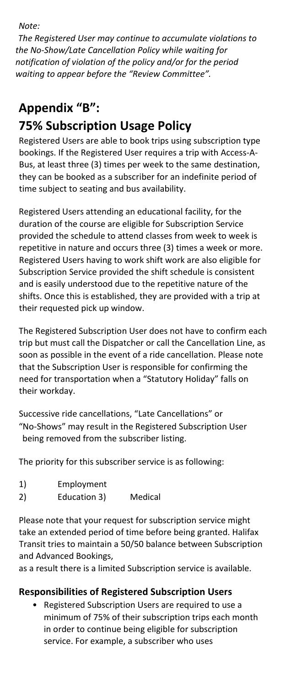*Note:*

*The Registered User may continue to accumulate violations to the No-Show/Late Cancellation Policy while waiting for notification of violation of the policy and/or for the period waiting to appear before the "Review Committee".*

# <span id="page-20-0"></span>**Appendix "B": 75% Subscription Usage Policy**

<span id="page-20-1"></span>Registered Users are able to book trips using subscription type bookings. If the Registered User requires a trip with Access-A-Bus, at least three (3) times per week to the same destination, they can be booked as a subscriber for an indefinite period of time subject to seating and bus availability.

Registered Users attending an educational facility, for the duration of the course are eligible for Subscription Service provided the schedule to attend classes from week to week is repetitive in nature and occurs three (3) times a week or more. Registered Users having to work shift work are also eligible for Subscription Service provided the shift schedule is consistent and is easily understood due to the repetitive nature of the shifts. Once this is established, they are provided with a trip at their requested pick up window.

The Registered Subscription User does not have to confirm each trip but must call the Dispatcher or call the Cancellation Line, as soon as possible in the event of a ride cancellation. Please note that the Subscription User is responsible for confirming the need for transportation when a "Statutory Holiday" falls on their workday.

Successive ride cancellations, "Late Cancellations" or "No-Shows" may result in the Registered Subscription User being removed from the subscriber listing.

The priority for this subscriber service is as following:

- 1) Employment
- 2) Education 3) Medical

Please note that your request for subscription service might take an extended period of time before being granted. Halifax Transit tries to maintain a 50/50 balance between Subscription and Advanced Bookings,

as a result there is a limited Subscription service is available.

#### <span id="page-20-2"></span>**Responsibilities of Registered Subscription Users**

• Registered Subscription Users are required to use a minimum of 75% of their subscription trips each month in order to continue being eligible for subscription service. For example, a subscriber who uses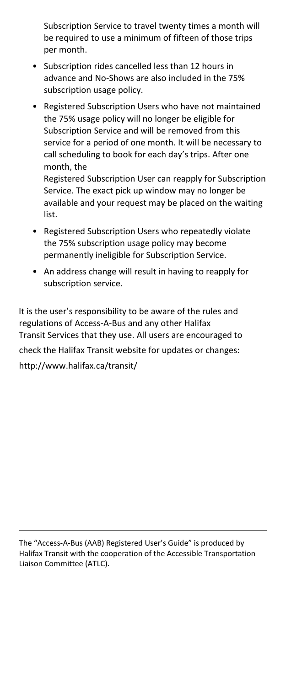Subscription Service to travel twenty times a month will be required to use a minimum of fifteen of those trips per month.

- Subscription rides cancelled less than 12 hours in advance and No-Shows are also included in the 75% subscription usage policy.
- Registered Subscription Users who have not maintained the 75% usage policy will no longer be eligible for Subscription Service and will be removed from this service for a period of one month. It will be necessary to call scheduling to book for each day's trips. After one month, the Registered Subscription User can reapply for Subscription

Service. The exact pick up window may no longer be available and your request may be placed on the waiting list.

- Registered Subscription Users who repeatedly violate the 75% subscription usage policy may become permanently ineligible for Subscription Service.
- An address change will result in having to reapply for subscription service.

It is the user's responsibility to be aware of the rules and regulations of Access-A-Bus and any other Halifax Transit Services that they use. All users are encouraged to check the Halifax Transit website for updates or changes: http://www.halifax.ca/transit/

The "Access-A-Bus (AAB) Registered User's Guide" is produced by Halifax Transit with the cooperation of the Accessible Transportation Liaison Committee (ATLC).